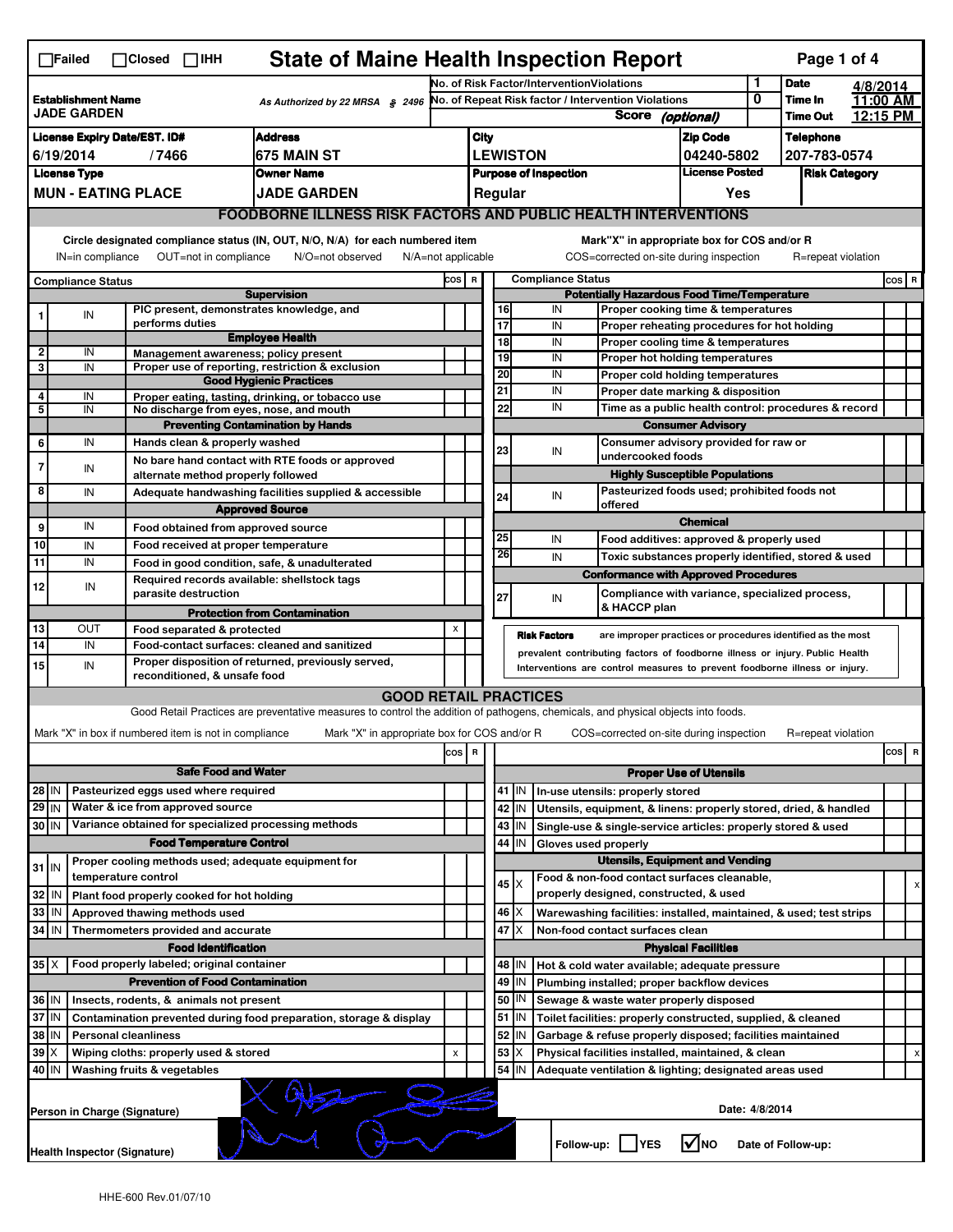| <b>State of Maine Health Inspection Report</b><br>Page 1 of 4<br>$\Box$ Failed<br>$\Box$ Closed $\Box$ IHH |                                                 |  |                                                       |                                                                                                                                                                   |       |             |                 |                 |                                           |                                                                                        |                                     |                |                      |                      |          |  |  |
|------------------------------------------------------------------------------------------------------------|-------------------------------------------------|--|-------------------------------------------------------|-------------------------------------------------------------------------------------------------------------------------------------------------------------------|-------|-------------|-----------------|-----------------|-------------------------------------------|----------------------------------------------------------------------------------------|-------------------------------------|----------------|----------------------|----------------------|----------|--|--|
|                                                                                                            |                                                 |  |                                                       |                                                                                                                                                                   |       |             |                 |                 | No. of Risk Factor/InterventionViolations |                                                                                        |                                     | 1              | <b>Date</b>          | 4/8/2014             |          |  |  |
|                                                                                                            | <b>Establishment Name</b><br><b>JADE GARDEN</b> |  |                                                       | As Authorized by 22 MRSA $$$ 2496                                                                                                                                 |       |             |                 |                 |                                           | No. of Repeat Risk factor / Intervention Violations                                    |                                     | 0              | Time In              | 11:00 AM<br>12:15 PM |          |  |  |
|                                                                                                            |                                                 |  |                                                       |                                                                                                                                                                   |       |             |                 |                 |                                           | Score (optional)                                                                       |                                     |                | <b>Time Out</b>      |                      |          |  |  |
|                                                                                                            | <b>License Expiry Date/EST. ID#</b>             |  |                                                       | Address                                                                                                                                                           |       | <b>City</b> |                 |                 |                                           |                                                                                        | <b>Zip Code</b>                     |                | <b>Telephone</b>     |                      |          |  |  |
|                                                                                                            | 6/19/2014                                       |  | /7466                                                 | 675 MAIN ST                                                                                                                                                       |       |             |                 | <b>LEWISTON</b> |                                           |                                                                                        | 04240-5802<br><b>License Posted</b> |                | 207-783-0574         |                      |          |  |  |
|                                                                                                            | <b>License Type</b>                             |  |                                                       | <b>Owner Name</b>                                                                                                                                                 |       |             |                 |                 | <b>Purpose of Inspection</b>              |                                                                                        |                                     |                | <b>Risk Category</b> |                      |          |  |  |
|                                                                                                            | <b>MUN - EATING PLACE</b>                       |  |                                                       | <b>JADE GARDEN</b>                                                                                                                                                |       |             | Regular         |                 |                                           |                                                                                        | Yes                                 |                |                      |                      |          |  |  |
|                                                                                                            |                                                 |  |                                                       | <b>FOODBORNE ILLNESS RISK FACTORS AND PUBLIC HEALTH INTERVENTIONS</b>                                                                                             |       |             |                 |                 |                                           |                                                                                        |                                     |                |                      |                      |          |  |  |
|                                                                                                            | IN=in compliance                                |  | OUT=not in compliance                                 | Circle designated compliance status (IN, OUT, N/O, N/A) for each numbered item<br>N/A=not applicable<br>N/O=not observed                                          |       |             |                 |                 |                                           | Mark"X" in appropriate box for COS and/or R<br>COS=corrected on-site during inspection |                                     |                | R=repeat violation   |                      |          |  |  |
|                                                                                                            | <b>Compliance Status</b>                        |  |                                                       |                                                                                                                                                                   | COS R |             |                 |                 | <b>Compliance Status</b>                  |                                                                                        |                                     |                |                      |                      | COS R    |  |  |
|                                                                                                            |                                                 |  |                                                       | <b>Supervision</b>                                                                                                                                                |       |             |                 |                 |                                           | <b>Potentially Hazardous Food Time/Temperature</b>                                     |                                     |                |                      |                      |          |  |  |
|                                                                                                            | IN                                              |  | PIC present, demonstrates knowledge, and              |                                                                                                                                                                   |       |             | 16              |                 | IN                                        | Proper cooking time & temperatures                                                     |                                     |                |                      |                      |          |  |  |
|                                                                                                            |                                                 |  | performs duties                                       | <b>Employee Health</b>                                                                                                                                            |       |             | $\overline{17}$ |                 | IN                                        | Proper reheating procedures for hot holding                                            |                                     |                |                      |                      |          |  |  |
| $\overline{2}$                                                                                             | IN                                              |  | Management awareness; policy present                  |                                                                                                                                                                   |       |             | 18<br>19        |                 | IN<br>IN                                  | Proper cooling time & temperatures<br>Proper hot holding temperatures                  |                                     |                |                      |                      |          |  |  |
| 3                                                                                                          | IN                                              |  |                                                       | Proper use of reporting, restriction & exclusion                                                                                                                  |       |             | 20              |                 | IN                                        | Proper cold holding temperatures                                                       |                                     |                |                      |                      |          |  |  |
|                                                                                                            |                                                 |  |                                                       | <b>Good Hygienic Practices</b>                                                                                                                                    |       |             | 21              |                 | IN                                        | Proper date marking & disposition                                                      |                                     |                |                      |                      |          |  |  |
| 4<br>5                                                                                                     | IN<br>IN                                        |  | No discharge from eyes, nose, and mouth               | Proper eating, tasting, drinking, or tobacco use                                                                                                                  |       |             | 22              |                 | IN                                        | Time as a public health control: procedures & record                                   |                                     |                |                      |                      |          |  |  |
|                                                                                                            |                                                 |  |                                                       | <b>Preventing Contamination by Hands</b>                                                                                                                          |       |             |                 |                 |                                           | <b>Consumer Advisory</b>                                                               |                                     |                |                      |                      |          |  |  |
| 6                                                                                                          | IN                                              |  | Hands clean & properly washed                         |                                                                                                                                                                   |       |             |                 |                 |                                           | Consumer advisory provided for raw or                                                  |                                     |                |                      |                      |          |  |  |
|                                                                                                            |                                                 |  |                                                       | No bare hand contact with RTE foods or approved                                                                                                                   |       |             | 23              |                 | IN                                        | undercooked foods                                                                      |                                     |                |                      |                      |          |  |  |
| 7                                                                                                          | IN                                              |  | alternate method properly followed                    |                                                                                                                                                                   |       |             |                 |                 |                                           | <b>Highly Susceptible Populations</b>                                                  |                                     |                |                      |                      |          |  |  |
| 8                                                                                                          | IN                                              |  |                                                       | Adequate handwashing facilities supplied & accessible                                                                                                             |       |             | 24              |                 | IN                                        | Pasteurized foods used; prohibited foods not                                           |                                     |                |                      |                      |          |  |  |
|                                                                                                            |                                                 |  |                                                       | <b>Approved Source</b>                                                                                                                                            |       |             |                 |                 |                                           | offered                                                                                |                                     |                |                      |                      |          |  |  |
| 9                                                                                                          | IN                                              |  | Food obtained from approved source                    |                                                                                                                                                                   |       |             |                 |                 |                                           |                                                                                        | <b>Chemical</b>                     |                |                      |                      |          |  |  |
| 10                                                                                                         | IN                                              |  | Food received at proper temperature                   |                                                                                                                                                                   |       |             | 25<br>26        |                 | IN                                        | Food additives: approved & properly used                                               |                                     |                |                      |                      |          |  |  |
| 11                                                                                                         | IN                                              |  |                                                       | Food in good condition, safe, & unadulterated                                                                                                                     |       |             |                 |                 | IN                                        | Toxic substances properly identified, stored & used                                    |                                     |                |                      |                      |          |  |  |
| 12                                                                                                         | IN                                              |  | Required records available: shellstock tags           |                                                                                                                                                                   |       |             |                 |                 |                                           | <b>Conformance with Approved Procedures</b>                                            |                                     |                |                      |                      |          |  |  |
|                                                                                                            |                                                 |  | parasite destruction                                  |                                                                                                                                                                   |       |             | 27              |                 | IN                                        | Compliance with variance, specialized process,                                         |                                     |                |                      |                      |          |  |  |
|                                                                                                            |                                                 |  |                                                       |                                                                                                                                                                   |       |             |                 |                 |                                           |                                                                                        |                                     |                |                      |                      |          |  |  |
|                                                                                                            |                                                 |  |                                                       | <b>Protection from Contamination</b>                                                                                                                              |       |             |                 |                 |                                           | & HACCP plan                                                                           |                                     |                |                      |                      |          |  |  |
| 13                                                                                                         | OUT                                             |  | Food separated & protected                            |                                                                                                                                                                   | X     |             |                 |                 | <b>Risk Factors</b>                       | are improper practices or procedures identified as the most                            |                                     |                |                      |                      |          |  |  |
| 14                                                                                                         | IN                                              |  |                                                       | Food-contact surfaces: cleaned and sanitized                                                                                                                      |       |             |                 |                 |                                           | prevalent contributing factors of foodborne illness or injury. Public Health           |                                     |                |                      |                      |          |  |  |
| 15                                                                                                         | IN                                              |  |                                                       | Proper disposition of returned, previously served,                                                                                                                |       |             |                 |                 |                                           | Interventions are control measures to prevent foodborne illness or injury.             |                                     |                |                      |                      |          |  |  |
|                                                                                                            |                                                 |  | reconditioned, & unsafe food                          |                                                                                                                                                                   |       |             |                 |                 |                                           |                                                                                        |                                     |                |                      |                      |          |  |  |
|                                                                                                            |                                                 |  |                                                       | <b>GOOD RETAIL PRACTICES</b><br>Good Retail Practices are preventative measures to control the addition of pathogens, chemicals, and physical objects into foods. |       |             |                 |                 |                                           |                                                                                        |                                     |                |                      |                      |          |  |  |
|                                                                                                            |                                                 |  |                                                       |                                                                                                                                                                   |       |             |                 |                 |                                           |                                                                                        |                                     |                |                      |                      |          |  |  |
|                                                                                                            |                                                 |  | Mark "X" in box if numbered item is not in compliance | Mark "X" in appropriate box for COS and/or R                                                                                                                      |       |             |                 |                 |                                           | COS=corrected on-site during inspection                                                |                                     |                | R=repeat violation   |                      |          |  |  |
|                                                                                                            |                                                 |  |                                                       |                                                                                                                                                                   | cos   | R           |                 |                 |                                           |                                                                                        |                                     |                |                      |                      | cos<br>R |  |  |
|                                                                                                            |                                                 |  | <b>Safe Food and Water</b>                            |                                                                                                                                                                   |       |             |                 |                 |                                           |                                                                                        | <b>Proper Use of Utensils</b>       |                |                      |                      |          |  |  |
| 28 IN                                                                                                      |                                                 |  | Pasteurized eggs used where required                  |                                                                                                                                                                   |       |             |                 | 41   IN         |                                           | In-use utensils: properly stored                                                       |                                     |                |                      |                      |          |  |  |
| $29$ IN                                                                                                    |                                                 |  | Water & ice from approved source                      |                                                                                                                                                                   |       |             |                 | 42 IN           |                                           | Utensils, equipment, & linens: properly stored, dried, & handled                       |                                     |                |                      |                      |          |  |  |
| 30 IN                                                                                                      |                                                 |  | Variance obtained for specialized processing methods  |                                                                                                                                                                   |       |             |                 | $43$   IN       |                                           | Single-use & single-service articles: properly stored & used                           |                                     |                |                      |                      |          |  |  |
|                                                                                                            |                                                 |  | <b>Food Temperature Control</b>                       |                                                                                                                                                                   |       |             | 44              | IN              | Gloves used properly                      |                                                                                        |                                     |                |                      |                      |          |  |  |
| $31$ IN                                                                                                    |                                                 |  | Proper cooling methods used; adequate equipment for   |                                                                                                                                                                   |       |             |                 |                 |                                           | <b>Utensils, Equipment and Vending</b>                                                 |                                     |                |                      |                      |          |  |  |
|                                                                                                            |                                                 |  | temperature control                                   |                                                                                                                                                                   |       |             | 45 X            |                 |                                           | Food & non-food contact surfaces cleanable,                                            |                                     |                |                      |                      | х        |  |  |
| 32                                                                                                         | IN                                              |  | Plant food properly cooked for hot holding            |                                                                                                                                                                   |       |             |                 |                 |                                           | properly designed, constructed, & used                                                 |                                     |                |                      |                      |          |  |  |
| 33                                                                                                         | l IN                                            |  | Approved thawing methods used                         |                                                                                                                                                                   |       |             | $46 \times$     |                 |                                           | Warewashing facilities: installed, maintained, & used; test strips                     |                                     |                |                      |                      |          |  |  |
| 34 IN                                                                                                      |                                                 |  | Thermometers provided and accurate                    |                                                                                                                                                                   |       |             | 47              | ΙX              |                                           | Non-food contact surfaces clean                                                        |                                     |                |                      |                      |          |  |  |
|                                                                                                            |                                                 |  | <b>Food Identification</b>                            |                                                                                                                                                                   |       |             |                 |                 |                                           |                                                                                        | <b>Physical Facilities</b>          |                |                      |                      |          |  |  |
| $35$ $\times$                                                                                              |                                                 |  | Food properly labeled; original container             |                                                                                                                                                                   |       |             |                 | 48   IN         |                                           | Hot & cold water available; adequate pressure                                          |                                     |                |                      |                      |          |  |  |
|                                                                                                            |                                                 |  | <b>Prevention of Food Contamination</b>               |                                                                                                                                                                   |       |             |                 | $49$ IN         |                                           | Plumbing installed; proper backflow devices                                            |                                     |                |                      |                      |          |  |  |
| 36 IN                                                                                                      |                                                 |  | Insects, rodents, & animals not present               |                                                                                                                                                                   |       |             |                 | 50   IN         |                                           | Sewage & waste water properly disposed                                                 |                                     |                |                      |                      |          |  |  |
| 37                                                                                                         | ΙN                                              |  |                                                       | Contamination prevented during food preparation, storage & display                                                                                                |       |             | 51              | IN.             |                                           | Toilet facilities: properly constructed, supplied, & cleaned                           |                                     |                |                      |                      |          |  |  |
| 38 IN<br>39                                                                                                |                                                 |  | <b>Personal cleanliness</b>                           |                                                                                                                                                                   | X     |             | 52<br>53        | IN<br>X         |                                           | Garbage & refuse properly disposed; facilities maintained                              |                                     |                |                      |                      |          |  |  |
| 40   IN                                                                                                    |                                                 |  | Wiping cloths: properly used & stored                 |                                                                                                                                                                   |       |             |                 | 54 IN           |                                           | Physical facilities installed, maintained, & clean                                     |                                     |                |                      |                      |          |  |  |
|                                                                                                            |                                                 |  | Washing fruits & vegetables                           |                                                                                                                                                                   |       |             |                 |                 |                                           | Adequate ventilation & lighting; designated areas used                                 |                                     |                |                      |                      |          |  |  |
|                                                                                                            |                                                 |  |                                                       |                                                                                                                                                                   |       |             |                 |                 |                                           |                                                                                        |                                     |                |                      |                      |          |  |  |
|                                                                                                            | Person in Charge (Signature)                    |  |                                                       |                                                                                                                                                                   |       |             |                 |                 |                                           |                                                                                        |                                     | Date: 4/8/2014 |                      |                      |          |  |  |
|                                                                                                            | Health Inspector (Signature)                    |  |                                                       |                                                                                                                                                                   |       |             |                 |                 | Follow-up:                                | YES                                                                                    | l✔lno                               |                | Date of Follow-up:   |                      |          |  |  |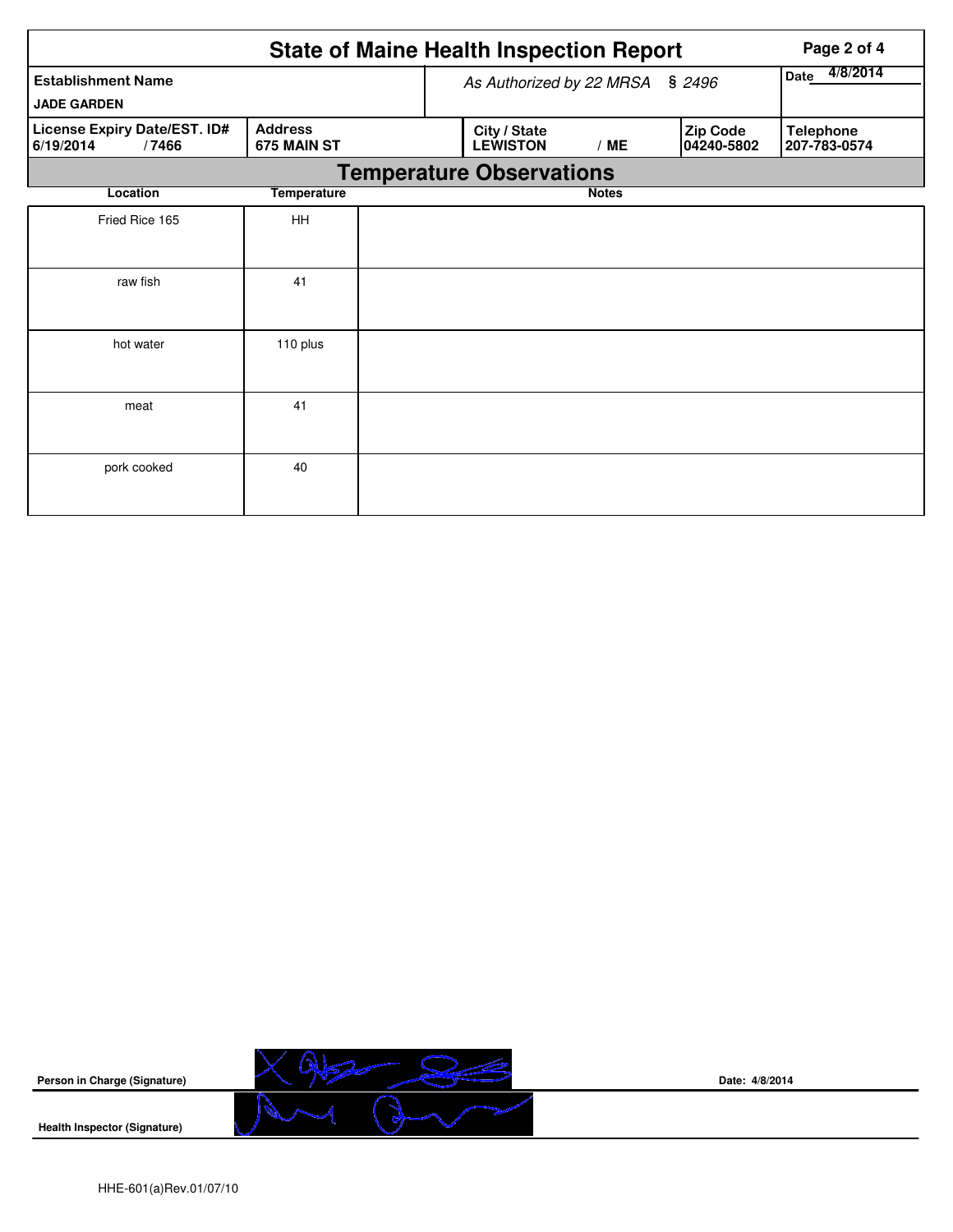|                                                    | <b>State of Maine Health Inspection Report</b> |                                 | Page 2 of 4      |                        |                  |  |  |
|----------------------------------------------------|------------------------------------------------|---------------------------------|------------------|------------------------|------------------|--|--|
| <b>Establishment Name</b>                          |                                                | As Authorized by 22 MRSA        | 4/8/2014<br>Date |                        |                  |  |  |
| <b>JADE GARDEN</b><br>License Expiry Date/EST. ID# | <b>Address</b>                                 | City / State                    |                  |                        | <b>Telephone</b> |  |  |
| 6/19/2014<br>/7466                                 | 675 MAIN ST                                    | <b>LEWISTON</b>                 | /ME              | Zip Code<br>04240-5802 | 207-783-0574     |  |  |
|                                                    |                                                | <b>Temperature Observations</b> |                  |                        |                  |  |  |
| Location                                           | <b>Temperature</b>                             |                                 | <b>Notes</b>     |                        |                  |  |  |
| Fried Rice 165                                     | <b>HH</b>                                      |                                 |                  |                        |                  |  |  |
|                                                    |                                                |                                 |                  |                        |                  |  |  |
| raw fish                                           | 41                                             |                                 |                  |                        |                  |  |  |
| hot water                                          | 110 plus                                       |                                 |                  |                        |                  |  |  |
| meat                                               | 41                                             |                                 |                  |                        |                  |  |  |
| pork cooked                                        | 40                                             |                                 |                  |                        |                  |  |  |



**Date: 4/8/2014**

HHE-601(a)Rev.01/07/10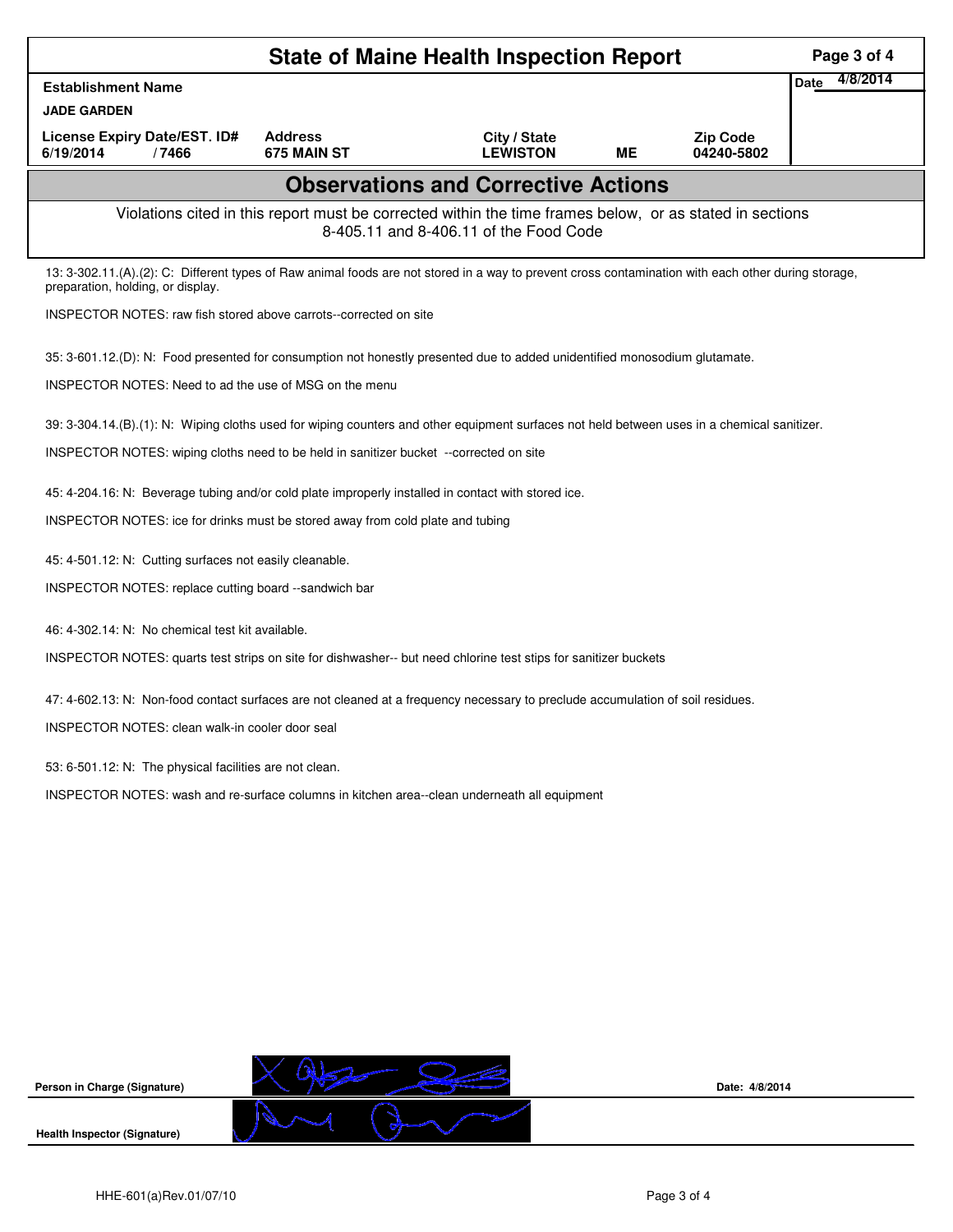| <b>State of Maine Health Inspection Report</b>                                                                                                                                           |                               |                                                                                                                                                    |           |                               |                         |  |  |  |
|------------------------------------------------------------------------------------------------------------------------------------------------------------------------------------------|-------------------------------|----------------------------------------------------------------------------------------------------------------------------------------------------|-----------|-------------------------------|-------------------------|--|--|--|
| <b>Establishment Name</b>                                                                                                                                                                |                               |                                                                                                                                                    |           |                               | 4/8/2014<br><b>Date</b> |  |  |  |
| <b>JADE GARDEN</b>                                                                                                                                                                       |                               |                                                                                                                                                    |           |                               |                         |  |  |  |
| License Expiry Date/EST. ID#<br>6/19/2014<br>/7466                                                                                                                                       | <b>Address</b><br>675 MAIN ST | City / State<br><b>LEWISTON</b>                                                                                                                    | <b>ME</b> | <b>Zip Code</b><br>04240-5802 |                         |  |  |  |
|                                                                                                                                                                                          |                               | <b>Observations and Corrective Actions</b>                                                                                                         |           |                               |                         |  |  |  |
|                                                                                                                                                                                          |                               | Violations cited in this report must be corrected within the time frames below, or as stated in sections<br>8-405.11 and 8-406.11 of the Food Code |           |                               |                         |  |  |  |
| 13: 3-302.11.(A).(2): C: Different types of Raw animal foods are not stored in a way to prevent cross contamination with each other during storage,<br>preparation, holding, or display. |                               |                                                                                                                                                    |           |                               |                         |  |  |  |
| INSPECTOR NOTES: raw fish stored above carrots--corrected on site                                                                                                                        |                               |                                                                                                                                                    |           |                               |                         |  |  |  |
| 35: 3-601.12.(D): N: Food presented for consumption not honestly presented due to added unidentified monosodium glutamate.                                                               |                               |                                                                                                                                                    |           |                               |                         |  |  |  |
| INSPECTOR NOTES: Need to ad the use of MSG on the menu                                                                                                                                   |                               |                                                                                                                                                    |           |                               |                         |  |  |  |
| 39: 3-304.14.(B).(1): N: Wiping cloths used for wiping counters and other equipment surfaces not held between uses in a chemical sanitizer.                                              |                               |                                                                                                                                                    |           |                               |                         |  |  |  |
| INSPECTOR NOTES: wiping cloths need to be held in sanitizer bucket --corrected on site                                                                                                   |                               |                                                                                                                                                    |           |                               |                         |  |  |  |
| 45: 4-204.16: N: Beverage tubing and/or cold plate improperly installed in contact with stored ice.                                                                                      |                               |                                                                                                                                                    |           |                               |                         |  |  |  |
| INSPECTOR NOTES: ice for drinks must be stored away from cold plate and tubing                                                                                                           |                               |                                                                                                                                                    |           |                               |                         |  |  |  |
| 45: 4-501.12: N: Cutting surfaces not easily cleanable.                                                                                                                                  |                               |                                                                                                                                                    |           |                               |                         |  |  |  |
| INSPECTOR NOTES: replace cutting board --sandwich bar                                                                                                                                    |                               |                                                                                                                                                    |           |                               |                         |  |  |  |
| 46: 4-302.14: N: No chemical test kit available.                                                                                                                                         |                               |                                                                                                                                                    |           |                               |                         |  |  |  |
| INSPECTOR NOTES: quarts test strips on site for dishwasher-- but need chlorine test stips for sanitizer buckets                                                                          |                               |                                                                                                                                                    |           |                               |                         |  |  |  |
| 47: 4-602.13: N: Non-food contact surfaces are not cleaned at a frequency necessary to preclude accumulation of soil residues.                                                           |                               |                                                                                                                                                    |           |                               |                         |  |  |  |
| <b>INSPECTOR NOTES: clean walk-in cooler door seal</b>                                                                                                                                   |                               |                                                                                                                                                    |           |                               |                         |  |  |  |
| 53: 6-501.12: N: The physical facilities are not clean.                                                                                                                                  |                               |                                                                                                                                                    |           |                               |                         |  |  |  |
| INSPECTOR NOTES: wash and re-surface columns in kitchen area--clean underneath all equipment                                                                                             |                               |                                                                                                                                                    |           |                               |                         |  |  |  |
|                                                                                                                                                                                          |                               |                                                                                                                                                    |           |                               |                         |  |  |  |
|                                                                                                                                                                                          |                               |                                                                                                                                                    |           |                               |                         |  |  |  |
|                                                                                                                                                                                          |                               |                                                                                                                                                    |           |                               |                         |  |  |  |
|                                                                                                                                                                                          |                               |                                                                                                                                                    |           |                               |                         |  |  |  |
|                                                                                                                                                                                          |                               |                                                                                                                                                    |           |                               |                         |  |  |  |
|                                                                                                                                                                                          |                               |                                                                                                                                                    |           |                               |                         |  |  |  |
|                                                                                                                                                                                          |                               |                                                                                                                                                    |           |                               |                         |  |  |  |
| Person in Charge (Signature)                                                                                                                                                             |                               |                                                                                                                                                    |           | Date: 4/8/2014                |                         |  |  |  |
|                                                                                                                                                                                          |                               |                                                                                                                                                    |           |                               |                         |  |  |  |
| <b>Health Inspector (Signature)</b>                                                                                                                                                      |                               |                                                                                                                                                    |           |                               |                         |  |  |  |